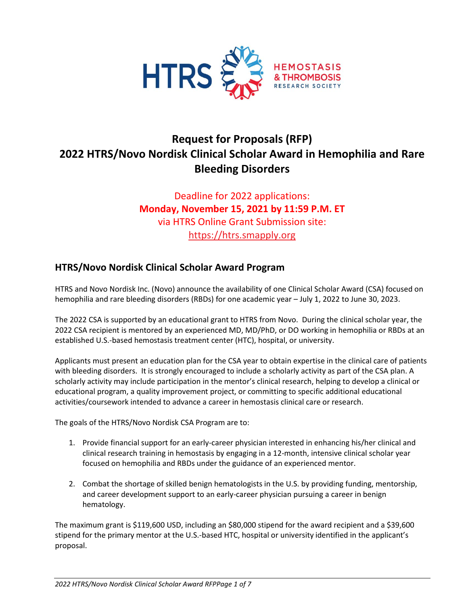

# **Request for Proposals (RFP) 2022 HTRS/Novo Nordisk Clinical Scholar Award in Hemophilia and Rare Bleeding Disorders**

Deadline for 2022 applications: **Monday, November 15, 2021 by 11:59 P.M. ET** via HTRS Online Grant Submission site: [https://htrs.smapply.org](https://htrs.smapply.org/)

### **HTRS/Novo Nordisk Clinical Scholar Award Program**

HTRS and Novo Nordisk Inc. (Novo) announce the availability of one Clinical Scholar Award (CSA) focused on hemophilia and rare bleeding disorders (RBDs) for one academic year – July 1, 2022 to June 30, 2023.

The 2022 CSA is supported by an educational grant to HTRS from Novo. During the clinical scholar year, the 2022 CSA recipient is mentored by an experienced MD, MD/PhD, or DO working in hemophilia or RBDs at an established U.S.-based hemostasis treatment center (HTC), hospital, or university.

Applicants must present an education plan for the CSA year to obtain expertise in the clinical care of patients with bleeding disorders. It is strongly encouraged to include a scholarly activity as part of the CSA plan. A scholarly activity may include participation in the mentor's clinical research, helping to develop a clinical or educational program, a quality improvement project, or committing to specific additional educational activities/coursework intended to advance a career in hemostasis clinical care or research.

The goals of the HTRS/Novo Nordisk CSA Program are to:

- 1. Provide financial support for an early-career physician interested in enhancing his/her clinical and clinical research training in hemostasis by engaging in a 12-month, intensive clinical scholar year focused on hemophilia and RBDs under the guidance of an experienced mentor.
- 2. Combat the shortage of skilled benign hematologists in the U.S. by providing funding, mentorship, and career development support to an early-career physician pursuing a career in benign hematology.

The maximum grant is \$119,600 USD, including an \$80,000 stipend for the award recipient and a \$39,600 stipend for the primary mentor at the U.S.-based HTC, hospital or university identified in the applicant's proposal.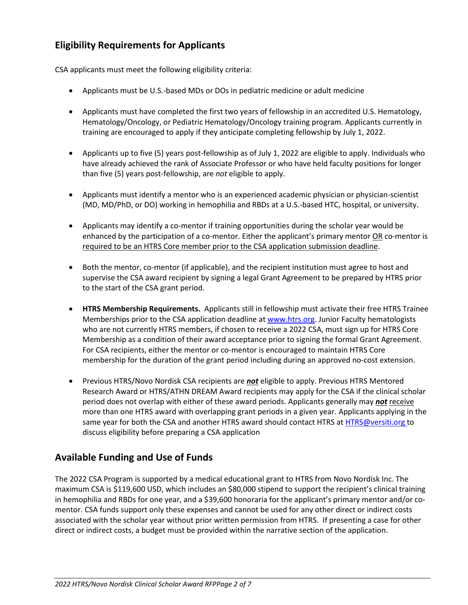## **Eligibility Requirements for Applicants**

CSA applicants must meet the following eligibility criteria:

- Applicants must be U.S.-based MDs or DOs in pediatric medicine or adult medicine
- Applicants must have completed the first two years of fellowship in an accredited U.S. Hematology, Hematology/Oncology, or Pediatric Hematology/Oncology training program. Applicants currently in training are encouraged to apply if they anticipate completing fellowship by July 1, 2022.
- Applicants up to five (5) years post-fellowship as of July 1, 2022 are eligible to apply. Individuals who have already achieved the rank of Associate Professor or who have held faculty positions for longer than five (5) years post-fellowship, are *not* eligible to apply.
- Applicants must identify a mentor who is an experienced academic physician or physician-scientist (MD, MD/PhD, or DO) working in hemophilia and RBDs at a U.S.-based HTC, hospital, or university.
- Applicants may identify a co-mentor if training opportunities during the scholar year would be enhanced by the participation of a co-mentor. Either the applicant's primary mentor OR co-mentor is required to be an HTRS Core member prior to the CSA application submission deadline.
- Both the mentor, co-mentor (if applicable), and the recipient institution must agree to host and supervise the CSA award recipient by signing a legal Grant Agreement to be prepared by HTRS prior to the start of the CSA grant period.
- **HTRS Membership Requirements.** Applicants still in fellowship must activate their free HTRS Trainee Memberships prior to the CSA application deadline at [www.htrs.org.](http://www.htrs.org/) Junior Faculty hematologists who are not currently HTRS members, if chosen to receive a 2022 CSA, must sign up for HTRS Core Membership as a condition of their award acceptance prior to signing the formal Grant Agreement. For CSA recipients, either the mentor or co-mentor is encouraged to maintain HTRS Core membership for the duration of the grant period including during an approved no-cost extension.
- Previous HTRS/Novo Nordisk CSA recipients are *not* eligible to apply. Previous HTRS Mentored Research Award or HTRS/ATHN DREAM Award recipients may apply for the CSA if the clinical scholar period does not overlap with either of these award periods. Applicants generally may *not* receive more than one HTRS award with overlapping grant periods in a given year. Applicants applying in the same year for both the CSA and another HTRS award should contact HTRS at **HTRS@versiti.org** to discuss eligibility before preparing a CSA application

### **Available Funding and Use of Funds**

The 2022 CSA Program is supported by a medical educational grant to HTRS from Novo Nordisk Inc. The maximum CSA is \$119,600 USD, which includes an \$80,000 stipend to support the recipient's clinical training in hemophilia and RBDs for one year, and a \$39,600 honoraria for the applicant's primary mentor and/or comentor. CSA funds support only these expenses and cannot be used for any other direct or indirect costs associated with the scholar year without prior written permission from HTRS. If presenting a case for other direct or indirect costs, a budget must be provided within the narrative section of the application.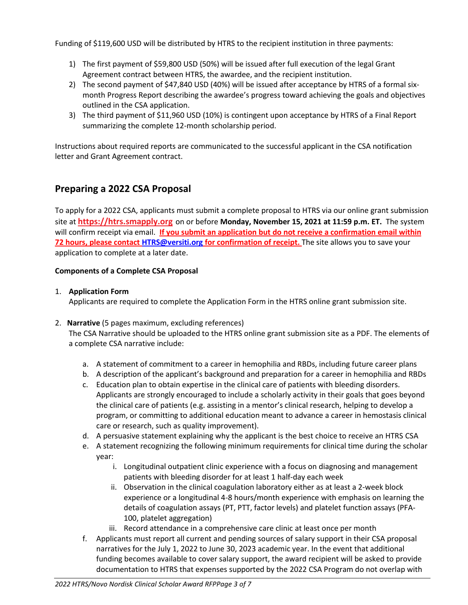Funding of \$119,600 USD will be distributed by HTRS to the recipient institution in three payments:

- 1) The first payment of \$59,800 USD (50%) will be issued after full execution of the legal Grant Agreement contract between HTRS, the awardee, and the recipient institution.
- 2) The second payment of \$47,840 USD (40%) will be issued after acceptance by HTRS of a formal sixmonth Progress Report describing the awardee's progress toward achieving the goals and objectives outlined in the CSA application.
- 3) The third payment of \$11,960 USD (10%) is contingent upon acceptance by HTRS of a Final Report summarizing the complete 12-month scholarship period.

Instructions about required reports are communicated to the successful applicant in the CSA notification letter and Grant Agreement contract.

# **Preparing a 2022 CSA Proposal**

To apply for a 2022 CSA, applicants must submit a complete proposal to HTRS via our online grant submission site at **[https://htrs.smapply.org](https://htrs.smapply.org/)** on or before **Monday, November 15, 2021 at 11:59 p.m. ET.** The system will confirm receipt via email. **If you submit an application but do not receive a confirmation email within 72 hours, please contac[t HTRS@versiti.org](mailto:HTRS@versiti.org) for confirmation of receipt.** The site allows you to save your application to complete at a later date.

#### **Components of a Complete CSA Proposal**

#### 1. **Application Form**

Applicants are required to complete the Application Form in the HTRS online grant submission site.

2. **Narrative** (5 pages maximum, excluding references)

The CSA Narrative should be uploaded to the HTRS online grant submission site as a PDF. The elements of a complete CSA narrative include:

- a. A statement of commitment to a career in hemophilia and RBDs, including future career plans
- b. A description of the applicant's background and preparation for a career in hemophilia and RBDs
- c. Education plan to obtain expertise in the clinical care of patients with bleeding disorders. Applicants are strongly encouraged to include a scholarly activity in their goals that goes beyond the clinical care of patients (e.g. assisting in a mentor's clinical research, helping to develop a program, or committing to additional education meant to advance a career in hemostasis clinical care or research, such as quality improvement).
- d. A persuasive statement explaining why the applicant is the best choice to receive an HTRS CSA
- e. A statement recognizing the following minimum requirements for clinical time during the scholar year:
	- i. Longitudinal outpatient clinic experience with a focus on diagnosing and management patients with bleeding disorder for at least 1 half-day each week
	- ii. Observation in the clinical coagulation laboratory either as at least a 2-week block experience or a longitudinal 4-8 hours/month experience with emphasis on learning the details of coagulation assays (PT, PTT, factor levels) and platelet function assays (PFA-100, platelet aggregation)
	- iii. Record attendance in a comprehensive care clinic at least once per month
- f. Applicants must report all current and pending sources of salary support in their CSA proposal narratives for the July 1, 2022 to June 30, 2023 academic year. In the event that additional funding becomes available to cover salary support, the award recipient will be asked to provide documentation to HTRS that expenses supported by the 2022 CSA Program do not overlap with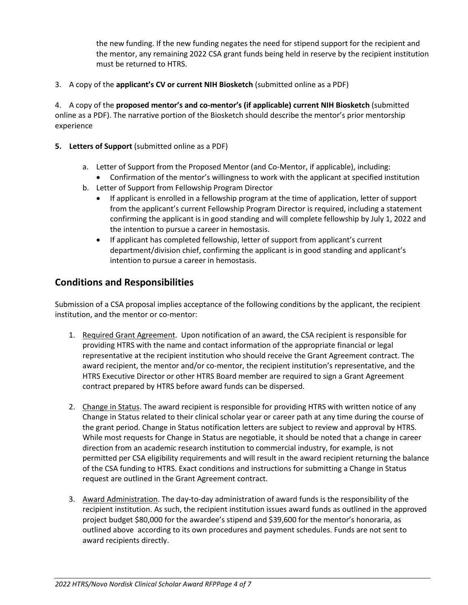the new funding. If the new funding negates the need for stipend support for the recipient and the mentor, any remaining 2022 CSA grant funds being held in reserve by the recipient institution must be returned to HTRS.

3. A copy of the **applicant's CV or current NIH Biosketch** (submitted online as a PDF)

4. A copy of the **proposed mentor's and co-mentor's (if applicable) current NIH Biosketch** (submitted online as a PDF). The narrative portion of the Biosketch should describe the mentor's prior mentorship experience

- **5. Letters of Support** (submitted online as a PDF)
	- a. Letter of Support from the Proposed Mentor (and Co-Mentor, if applicable), including:
		- Confirmation of the mentor's willingness to work with the applicant at specified institution
	- b. Letter of Support from Fellowship Program Director
		- If applicant is enrolled in a fellowship program at the time of application, letter of support from the applicant's current Fellowship Program Director is required, including a statement confirming the applicant is in good standing and will complete fellowship by July 1, 2022 and the intention to pursue a career in hemostasis.
		- If applicant has completed fellowship, letter of support from applicant's current department/division chief, confirming the applicant is in good standing and applicant's intention to pursue a career in hemostasis.

### **Conditions and Responsibilities**

Submission of a CSA proposal implies acceptance of the following conditions by the applicant, the recipient institution, and the mentor or co-mentor:

- 1. Required Grant Agreement. Upon notification of an award, the CSA recipient is responsible for providing HTRS with the name and contact information of the appropriate financial or legal representative at the recipient institution who should receive the Grant Agreement contract. The award recipient, the mentor and/or co-mentor, the recipient institution's representative, and the HTRS Executive Director or other HTRS Board member are required to sign a Grant Agreement contract prepared by HTRS before award funds can be dispersed.
- 2. Change in Status. The award recipient is responsible for providing HTRS with written notice of any Change in Status related to their clinical scholar year or career path at any time during the course of the grant period. Change in Status notification letters are subject to review and approval by HTRS. While most requests for Change in Status are negotiable, it should be noted that a change in career direction from an academic research institution to commercial industry, for example, is not permitted per CSA eligibility requirements and will result in the award recipient returning the balance of the CSA funding to HTRS. Exact conditions and instructions for submitting a Change in Status request are outlined in the Grant Agreement contract.
- 3. Award Administration. The day-to-day administration of award funds is the responsibility of the recipient institution. As such, the recipient institution issues award funds as outlined in the approved project budget \$80,000 for the awardee's stipend and \$39,600 for the mentor's honoraria, as outlined above according to its own procedures and payment schedules. Funds are not sent to award recipients directly.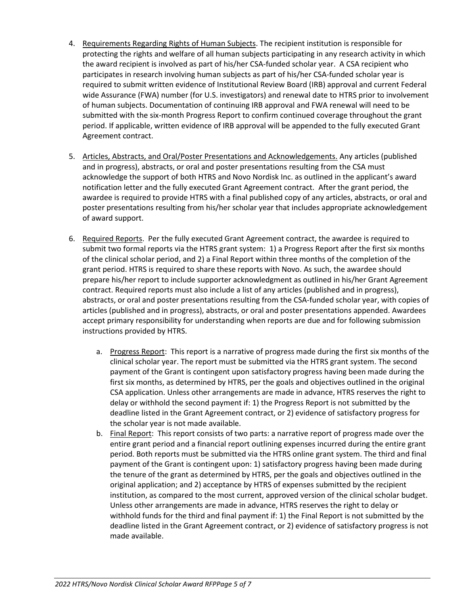- 4. Requirements Regarding Rights of Human Subjects. The recipient institution is responsible for protecting the rights and welfare of all human subjects participating in any research activity in which the award recipient is involved as part of his/her CSA-funded scholar year. A CSA recipient who participates in research involving human subjects as part of his/her CSA-funded scholar year is required to submit written evidence of Institutional Review Board (IRB) approval and current Federal wide Assurance (FWA) number (for U.S. investigators) and renewal date to HTRS prior to involvement of human subjects. Documentation of continuing IRB approval and FWA renewal will need to be submitted with the six-month Progress Report to confirm continued coverage throughout the grant period. If applicable, written evidence of IRB approval will be appended to the fully executed Grant Agreement contract.
- 5. Articles, Abstracts, and Oral/Poster Presentations and Acknowledgements. Any articles (published and in progress), abstracts, or oral and poster presentations resulting from the CSA must acknowledge the support of both HTRS and Novo Nordisk Inc. as outlined in the applicant's award notification letter and the fully executed Grant Agreement contract. After the grant period, the awardee is required to provide HTRS with a final published copy of any articles, abstracts, or oral and poster presentations resulting from his/her scholar year that includes appropriate acknowledgement of award support.
- 6. Required Reports. Per the fully executed Grant Agreement contract, the awardee is required to submit two formal reports via the HTRS grant system: 1) a Progress Report after the first six months of the clinical scholar period, and 2) a Final Report within three months of the completion of the grant period. HTRS is required to share these reports with Novo. As such, the awardee should prepare his/her report to include supporter acknowledgment as outlined in his/her Grant Agreement contract. Required reports must also include a list of any articles (published and in progress), abstracts, or oral and poster presentations resulting from the CSA-funded scholar year, with copies of articles (published and in progress), abstracts, or oral and poster presentations appended. Awardees accept primary responsibility for understanding when reports are due and for following submission instructions provided by HTRS.
	- a. Progress Report: This report is a narrative of progress made during the first six months of the clinical scholar year. The report must be submitted via the HTRS grant system. The second payment of the Grant is contingent upon satisfactory progress having been made during the first six months, as determined by HTRS, per the goals and objectives outlined in the original CSA application. Unless other arrangements are made in advance, HTRS reserves the right to delay or withhold the second payment if: 1) the Progress Report is not submitted by the deadline listed in the Grant Agreement contract, or 2) evidence of satisfactory progress for the scholar year is not made available.
	- b. Final Report: This report consists of two parts: a narrative report of progress made over the entire grant period and a financial report outlining expenses incurred during the entire grant period. Both reports must be submitted via the HTRS online grant system. The third and final payment of the Grant is contingent upon: 1) satisfactory progress having been made during the tenure of the grant as determined by HTRS, per the goals and objectives outlined in the original application; and 2) acceptance by HTRS of expenses submitted by the recipient institution, as compared to the most current, approved version of the clinical scholar budget. Unless other arrangements are made in advance, HTRS reserves the right to delay or withhold funds for the third and final payment if: 1) the Final Report is not submitted by the deadline listed in the Grant Agreement contract, or 2) evidence of satisfactory progress is not made available.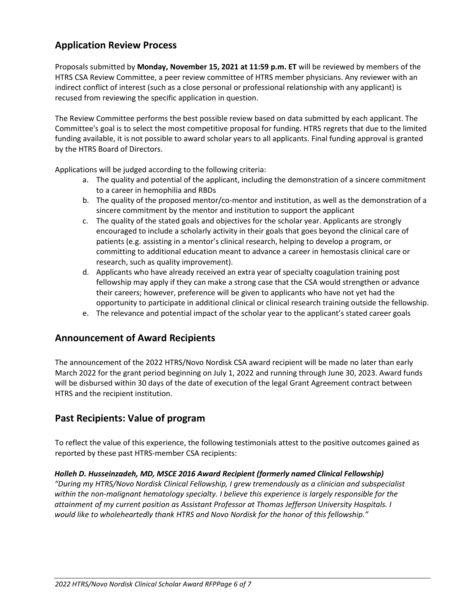# **Application Review Process**

Proposals submitted by **Monday, November 15, 2021 at 11:59 p.m. ET** will be reviewed by members of the HTRS CSA Review Committee, a peer review committee of HTRS member physicians. Any reviewer with an indirect conflict of interest (such as a close personal or professional relationship with any applicant) is recused from reviewing the specific application in question.

The Review Committee performs the best possible review based on data submitted by each applicant. The Committee's goal is to select the most competitive proposal for funding. HTRS regrets that due to the limited funding available, it is not possible to award scholar years to all applicants. Final funding approval is granted by the HTRS Board of Directors.

Applications will be judged according to the following criteria:

- a. The quality and potential of the applicant, including the demonstration of a sincere commitment to a career in hemophilia and RBDs
- b. The quality of the proposed mentor/co-mentor and institution, as well as the demonstration of a sincere commitment by the mentor and institution to support the applicant
- c. The quality of the stated goals and objectives for the scholar year. Applicants are strongly encouraged to include a scholarly activity in their goals that goes beyond the clinical care of patients (e.g. assisting in a mentor's clinical research, helping to develop a program, or committing to additional education meant to advance a career in hemostasis clinical care or research, such as quality improvement).
- d. Applicants who have already received an extra year of specialty coagulation training post fellowship may apply if they can make a strong case that the CSA would strengthen or advance their careers; however, preference will be given to applicants who have not yet had the opportunity to participate in additional clinical or clinical research training outside the fellowship.
- e. The relevance and potential impact of the scholar year to the applicant's stated career goals

#### **Announcement of Award Recipients**

The announcement of the 2022 HTRS/Novo Nordisk CSA award recipient will be made no later than early March 2022 for the grant period beginning on July 1, 2022 and running through June 30, 2023. Award funds will be disbursed within 30 days of the date of execution of the legal Grant Agreement contract between HTRS and the recipient institution.

### **Past Recipients: Value of program**

To reflect the value of this experience, the following testimonials attest to the positive outcomes gained as reported by these past HTRS-member CSA recipients:

#### *Holleh D. Husseinzadeh, MD, MSCE 2016 Award Recipient (formerly named Clinical Fellowship)*

*"During my HTRS/Novo Nordisk Clinical Fellowship, I grew tremendously as a clinician and subspecialist within the non-malignant hematology specialty. I believe this experience is largely responsible for the attainment of my current position as Assistant Professor at Thomas Jefferson University Hospitals. I would like to wholeheartedly thank HTRS and Novo Nordisk for the honor of this fellowship."*